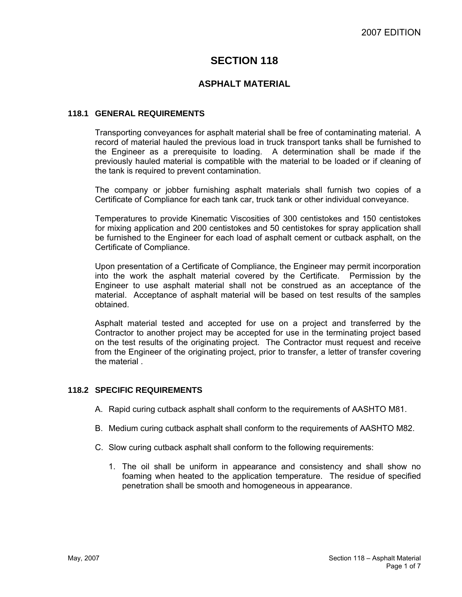# **SECTION 118**

# **ASPHALT MATERIAL**

#### **118.1 GENERAL REQUIREMENTS**

Transporting conveyances for asphalt material shall be free of contaminating material. A record of material hauled the previous load in truck transport tanks shall be furnished to the Engineer as a prerequisite to loading. A determination shall be made if the previously hauled material is compatible with the material to be loaded or if cleaning of the tank is required to prevent contamination.

The company or jobber furnishing asphalt materials shall furnish two copies of a Certificate of Compliance for each tank car, truck tank or other individual conveyance.

Temperatures to provide Kinematic Viscosities of 300 centistokes and 150 centistokes for mixing application and 200 centistokes and 50 centistokes for spray application shall be furnished to the Engineer for each load of asphalt cement or cutback asphalt, on the Certificate of Compliance.

Upon presentation of a Certificate of Compliance, the Engineer may permit incorporation into the work the asphalt material covered by the Certificate. Permission by the Engineer to use asphalt material shall not be construed as an acceptance of the material. Acceptance of asphalt material will be based on test results of the samples obtained.

Asphalt material tested and accepted for use on a project and transferred by the Contractor to another project may be accepted for use in the terminating project based on the test results of the originating project. The Contractor must request and receive from the Engineer of the originating project, prior to transfer, a letter of transfer covering the material .

#### **118.2 SPECIFIC REQUIREMENTS**

- A. Rapid curing cutback asphalt shall conform to the requirements of AASHTO M81.
- B. Medium curing cutback asphalt shall conform to the requirements of AASHTO M82.
- C. Slow curing cutback asphalt shall conform to the following requirements:
	- 1. The oil shall be uniform in appearance and consistency and shall show no foaming when heated to the application temperature. The residue of specified penetration shall be smooth and homogeneous in appearance.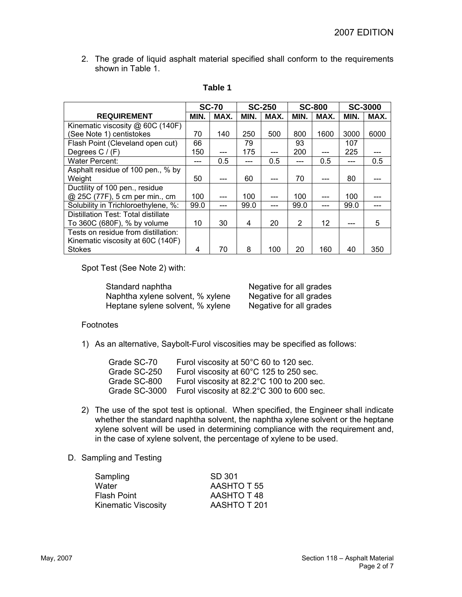2. The grade of liquid asphalt material specified shall conform to the requirements shown in Table 1.

|                                     |      | <b>SC-70</b> | <b>SC-250</b> |      | <b>SC-800</b> |      | <b>SC-3000</b> |      |
|-------------------------------------|------|--------------|---------------|------|---------------|------|----------------|------|
| <b>REQUIREMENT</b>                  | MIN. | MAX.         | MIN.          | MAX. | MIN.          | MAX. | MIN.           | MAX. |
| Kinematic viscosity @ 60C (140F)    |      |              |               |      |               |      |                |      |
| (See Note 1) centistokes            | 70   | 140          | 250           | 500  | 800           | 1600 | 3000           | 6000 |
| Flash Point (Cleveland open cut)    | 66   |              | 79            |      | 93            |      | 107            |      |
| Degrees $C / (F)$                   | 150  | ---          | 175           | ---  | 200           | ---  | 225            |      |
| <b>Water Percent:</b>               |      | 0.5          |               | 0.5  |               | 0.5  |                | 0.5  |
| Asphalt residue of 100 pen., % by   |      |              |               |      |               |      |                |      |
| Weight                              | 50   | ---          | 60            |      | 70            |      | 80             |      |
| Ductility of 100 pen., residue      |      |              |               |      |               |      |                |      |
| @ 25C (77F), 5 cm per min., cm      | 100  | ---          | 100           |      | 100           |      | 100            |      |
| Solubility in Trichloroethylene, %: | 99.0 | ---          | 99.0          |      | 99.0          |      | 99.0           |      |
| Distillation Test: Total distillate |      |              |               |      |               |      |                |      |
| To 360C (680F), % by volume         | 10   | 30           | 4             | 20   | 2             | 12   |                | 5    |
| Tests on residue from distillation: |      |              |               |      |               |      |                |      |
| Kinematic viscosity at 60C (140F)   |      |              |               |      |               |      |                |      |
| <b>Stokes</b>                       | 4    | 70           | 8             | 100  | 20            | 160  | 40             | 350  |

# **Table 1**

Spot Test (See Note 2) with:

Standard naphtha<br>
Negative for all grades<br>
Negative for all grades Naphtha xylene solvent, % xylene Heptane sylene solvent, % xylene Negative for all grades

#### Footnotes

1) As an alternative, Saybolt-Furol viscosities may be specified as follows:

| Grade SC-70   | Furol viscosity at 50°C 60 to 120 sec.    |
|---------------|-------------------------------------------|
| Grade SC-250  | Furol viscosity at 60°C 125 to 250 sec.   |
| Grade SC-800  | Furol viscosity at 82.2°C 100 to 200 sec. |
| Grade SC-3000 | Furol viscosity at 82.2°C 300 to 600 sec. |

2) The use of the spot test is optional. When specified, the Engineer shall indicate whether the standard naphtha solvent, the naphtha xylene solvent or the heptane xylene solvent will be used in determining compliance with the requirement and, in the case of xylene solvent, the percentage of xylene to be used.

#### D. Sampling and Testing

| Sampling                   | SD 301       |
|----------------------------|--------------|
| Water                      | AASHTO T 55  |
| <b>Flash Point</b>         | AASHTO T48   |
| <b>Kinematic Viscosity</b> | AASHTO T 201 |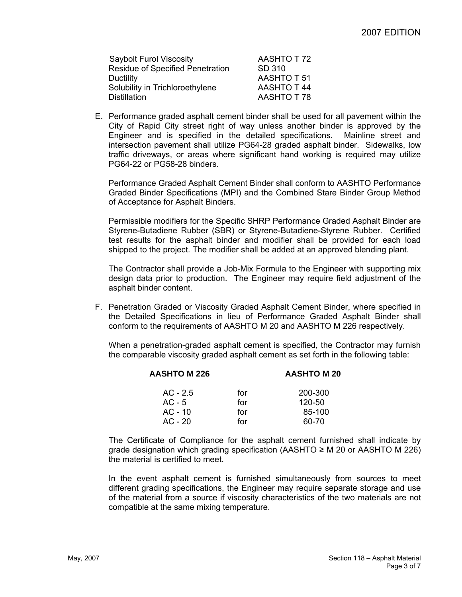| <b>Saybolt Furol Viscosity</b>          | AASHTO T72        |
|-----------------------------------------|-------------------|
| <b>Residue of Specified Penetration</b> | SD 310            |
| Ductility                               | AASHTO T 51       |
| Solubility in Trichloroethylene         | <b>AASHTO T44</b> |
| Distillation                            | AASHTO T78        |

E. Performance graded asphalt cement binder shall be used for all pavement within the City of Rapid City street right of way unless another binder is approved by the Engineer and is specified in the detailed specifications. Mainline street and intersection pavement shall utilize PG64-28 graded asphalt binder. Sidewalks, low traffic driveways, or areas where significant hand working is required may utilize PG64-22 or PG58-28 binders.

Performance Graded Asphalt Cement Binder shall conform to AASHTO Performance Graded Binder Specifications (MPI) and the Combined Stare Binder Group Method of Acceptance for Asphalt Binders.

Permissible modifiers for the Specific SHRP Performance Graded Asphalt Binder are Styrene-Butadiene Rubber (SBR) or Styrene-Butadiene-Styrene Rubber. Certified test results for the asphalt binder and modifier shall be provided for each load shipped to the project. The modifier shall be added at an approved blending plant.

The Contractor shall provide a Job-Mix Formula to the Engineer with supporting mix design data prior to production. The Engineer may require field adjustment of the asphalt binder content.

F. Penetration Graded or Viscosity Graded Asphalt Cement Binder, where specified in the Detailed Specifications in lieu of Performance Graded Asphalt Binder shall conform to the requirements of AASHTO M 20 and AASHTO M 226 respectively.

When a penetration-graded asphalt cement is specified, the Contractor may furnish the comparable viscosity graded asphalt cement as set forth in the following table:

| <b>AASHTO M 226</b> | <b>AASHTO M 20</b> |            |
|---------------------|--------------------|------------|
| $AC - 2.5$          | for                | 200-300    |
| $AC - 5$            | for                | $120 - 50$ |
| $AC - 10$           | for                | 85-100     |
| $AC - 20$           | for                | 60-70      |
|                     |                    |            |

The Certificate of Compliance for the asphalt cement furnished shall indicate by grade designation which grading specification (AASHTO  $\geq M$  20 or AASHTO M 226) the material is certified to meet.

In the event asphalt cement is furnished simultaneously from sources to meet different grading specifications, the Engineer may require separate storage and use of the material from a source if viscosity characteristics of the two materials are not compatible at the same mixing temperature.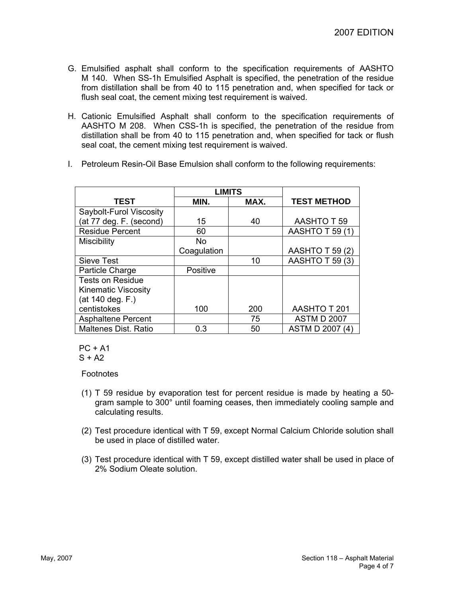- G. Emulsified asphalt shall conform to the specification requirements of AASHTO M 140. When SS-1h Emulsified Asphalt is specified, the penetration of the residue from distillation shall be from 40 to 115 penetration and, when specified for tack or flush seal coat, the cement mixing test requirement is waived.
- H. Cationic Emulsified Asphalt shall conform to the specification requirements of AASHTO M 208. When CSS-1h is specified, the penetration of the residue from distillation shall be from 40 to 115 penetration and, when specified for tack or flush seal coat, the cement mixing test requirement is waived.
- I. Petroleum Resin-Oil Base Emulsion shall conform to the following requirements:

|                             | <b>LIMITS</b> |      |                        |
|-----------------------------|---------------|------|------------------------|
| <b>TEST</b>                 | MIN.          | MAX. | <b>TEST METHOD</b>     |
| Saybolt-Furol Viscosity     |               |      |                        |
| (at 77 deg. F. (second)     | 15            | 40   | <b>AASHTO T 59</b>     |
| <b>Residue Percent</b>      | 60            |      | <b>AASHTO T 59 (1)</b> |
| Miscibility                 | No.           |      |                        |
|                             | Coagulation   |      | <b>AASHTO T 59 (2)</b> |
| Sieve Test                  |               | 10   | AASHTO T 59 (3)        |
| Particle Charge             | Positive      |      |                        |
| <b>Tests on Residue</b>     |               |      |                        |
| <b>Kinematic Viscosity</b>  |               |      |                        |
| (at 140 deg. F.)            |               |      |                        |
| centistokes                 | 100           | 200  | <b>AASHTO T 201</b>    |
| <b>Asphaltene Percent</b>   |               | 75   | <b>ASTM D 2007</b>     |
| <b>Maltenes Dist. Ratio</b> | 0.3           | 50   | ASTM D 2007 (4)        |

 $PC + A1$ 

 $S + A2$ 

Footnotes

- (1) T 59 residue by evaporation test for percent residue is made by heating a 50 gram sample to 300° until foaming ceases, then immediately cooling sample and calculating results.
- (2) Test procedure identical with T 59, except Normal Calcium Chloride solution shall be used in place of distilled water.
- (3) Test procedure identical with T 59, except distilled water shall be used in place of 2% Sodium Oleate solution.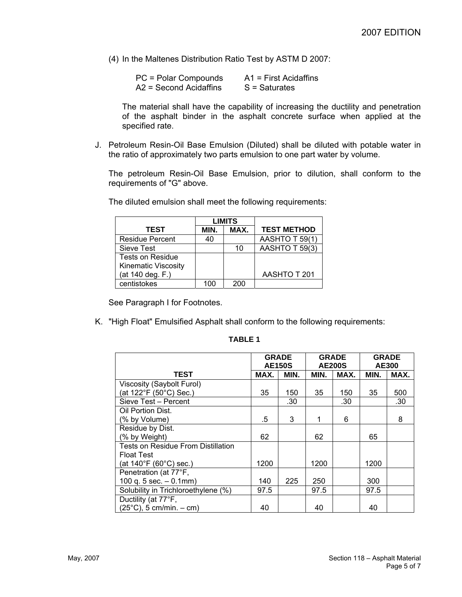(4) In the Maltenes Distribution Ratio Test by ASTM D 2007:

| PC = Polar Compounds     | $A1$ = First Acidaffins |
|--------------------------|-------------------------|
| $A2 = Second Acidaffins$ | $S =$ Saturates         |

The material shall have the capability of increasing the ductility and penetration of the asphalt binder in the asphalt concrete surface when applied at the specified rate.

J. Petroleum Resin-Oil Base Emulsion (Diluted) shall be diluted with potable water in the ratio of approximately two parts emulsion to one part water by volume.

The petroleum Resin-Oil Base Emulsion, prior to dilution, shall conform to the requirements of "G" above.

|                            | <b>LIMITS</b> |      |                    |
|----------------------------|---------------|------|--------------------|
| <b>TEST</b>                | MIN.          | MAX. | <b>TEST METHOD</b> |
| <b>Residue Percent</b>     | 40            |      | AASHTO T 59(1)     |
| Sieve Test                 |               | 10   | AASHTO T 59(3)     |
| <b>Tests on Residue</b>    |               |      |                    |
| <b>Kinematic Viscosity</b> |               |      |                    |
| (at 140 deg. F.)           |               |      | AASHTO T 201       |
| centistokes                | 100           | 200  |                    |

The diluted emulsion shall meet the following requirements:

See Paragraph I for Footnotes.

K. "High Float" Emulsified Asphalt shall conform to the following requirements:

|                                           | <b>GRADE</b><br><b>AE150S</b> |      | <b>GRADE</b><br><b>AE200S</b> |      | <b>GRADE</b><br>AE300 |      |
|-------------------------------------------|-------------------------------|------|-------------------------------|------|-----------------------|------|
| TEST                                      | MAX.                          | MIN. | MIN.                          | MAX. | MIN.                  | MAX. |
| Viscosity (Saybolt Furol)                 |                               |      |                               |      |                       |      |
| (at 122°F (50°C) Sec.)                    | 35                            | 150  | 35                            | 150  | 35                    | 500  |
| Sieve Test - Percent                      |                               | .30  |                               | .30  |                       | .30  |
| Oil Portion Dist.                         |                               |      |                               |      |                       |      |
| (% by Volume)                             | .5                            | 3    |                               | 6    |                       | 8    |
| Residue by Dist.                          |                               |      |                               |      |                       |      |
| (% by Weight)                             | 62                            |      | 62                            |      | 65                    |      |
| <b>Tests on Residue From Distillation</b> |                               |      |                               |      |                       |      |
| <b>Float Test</b>                         |                               |      |                               |      |                       |      |
| (at $140^{\circ}F(60^{\circ}C)$ sec.)     | 1200                          |      | 1200                          |      | 1200                  |      |
| Penetration (at 77°F,                     |                               |      |                               |      |                       |      |
| 100 q. $5$ sec. $-0.1$ mm)                | 140                           | 225  | 250                           |      | 300                   |      |
| Solubility in Trichloroethylene (%)       | 97.5                          |      | 97.5                          |      | 97.5                  |      |
| Ductility (at 77°F,                       |                               |      |                               |      |                       |      |
| $(25^{\circ}C)$ , 5 cm/min. - cm)         | 40                            |      | 40                            |      | 40                    |      |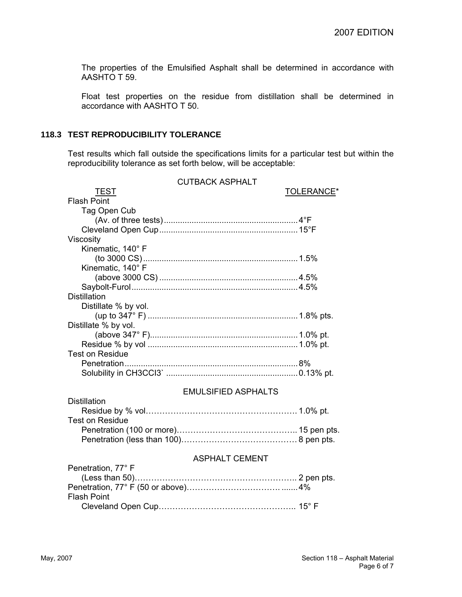The properties of the Emulsified Asphalt shall be determined in accordance with AASHTO T 59.

Float test properties on the residue from distillation shall be determined in accordance with AASHTO T 50.

## **118.3 TEST REPRODUCIBILITY TOLERANCE**

Test results which fall outside the specifications limits for a particular test but within the reproducibility tolerance as set forth below, will be acceptable:

|                                         | <b>CUTBACK ASPHALT</b>     |            |
|-----------------------------------------|----------------------------|------------|
| <b>TEST</b>                             |                            | TOLERANCE* |
| <b>Flash Point</b>                      |                            |            |
| Tag Open Cub                            |                            |            |
|                                         |                            |            |
|                                         |                            |            |
| Viscosity                               |                            |            |
| Kinematic, 140° F                       |                            |            |
|                                         |                            |            |
| Kinematic, 140° F                       |                            |            |
|                                         |                            |            |
|                                         |                            |            |
| <b>Distillation</b>                     |                            |            |
| Distillate % by vol.                    |                            |            |
|                                         |                            |            |
| Distillate % by vol.                    |                            |            |
|                                         |                            |            |
|                                         |                            |            |
| <b>Test on Residue</b>                  |                            |            |
|                                         |                            |            |
|                                         |                            |            |
|                                         |                            |            |
|                                         | <b>EMULSIFIED ASPHALTS</b> |            |
| <b>Distillation</b>                     |                            |            |
|                                         |                            |            |
| <b>Test on Residue</b>                  |                            |            |
|                                         |                            |            |
|                                         |                            |            |
|                                         | <b>ASPHALT CEMENT</b>      |            |
| Penetration, 77° F                      |                            |            |
|                                         |                            |            |
| Penetration, $77^\circ$ F (50 or above) | $4\%$                      |            |

| <b>Flash Point</b> |  |
|--------------------|--|
|                    |  |